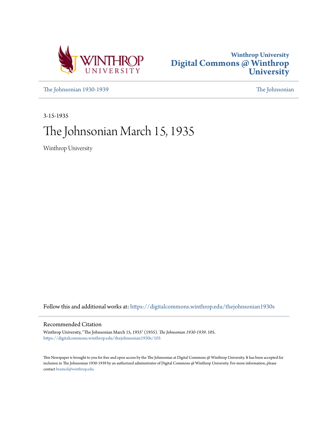



[The Johnsonian 1930-1939](https://digitalcommons.winthrop.edu/thejohnsonian1930s?utm_source=digitalcommons.winthrop.edu%2Fthejohnsonian1930s%2F105&utm_medium=PDF&utm_campaign=PDFCoverPages) [The Johnsonian](https://digitalcommons.winthrop.edu/thejohnsonian_newspaper?utm_source=digitalcommons.winthrop.edu%2Fthejohnsonian1930s%2F105&utm_medium=PDF&utm_campaign=PDFCoverPages)

3-15-1935

# The Johnsonian March 15, 1935

Winthrop University

Follow this and additional works at: [https://digitalcommons.winthrop.edu/thejohnsonian1930s](https://digitalcommons.winthrop.edu/thejohnsonian1930s?utm_source=digitalcommons.winthrop.edu%2Fthejohnsonian1930s%2F105&utm_medium=PDF&utm_campaign=PDFCoverPages)

### Recommended Citation

Winthrop University, "The Johnsonian March 15, 1935" (1935). *The Johnsonian 1930-1939*. 105. [https://digitalcommons.winthrop.edu/thejohnsonian1930s/105](https://digitalcommons.winthrop.edu/thejohnsonian1930s/105?utm_source=digitalcommons.winthrop.edu%2Fthejohnsonian1930s%2F105&utm_medium=PDF&utm_campaign=PDFCoverPages)

This Newspaper is brought to you for free and open access by the The Johnsonian at Digital Commons @ Winthrop University. It has been accepted for inclusion in The Johnsonian 1930-1939 by an authorized administrator of Digital Commons @ Winthrop University. For more information, please contact [bramed@winthrop.edu](mailto:bramed@winthrop.edu).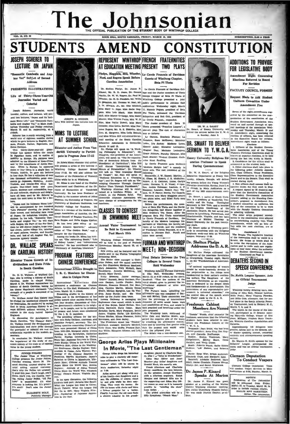# The Johnsonian

**NTE CAROLINA PRES** 

### **INSEPH SCHERER TO** LECTURE ON JAPAN

VOL. 12, NO. 20

tic Cambodia and Angkor Vat" Subject of Second **Address** 

**PRESENTS ILLUSTRATIONS** 

Life of Thirty-Three-Year-Old Journalist Varied and Colorfol

er. journalist traveler, author, and lecturer, will prees, "Japan and Its Intisent two lectur mate Home Life," and "Romantic Cam-<br>bodia and Angkor Vat," in Main Auditorium Thursday and Friday evenings<br>March 21 and 21. respectively, at 8 o'elock

Scherer has neently returned from a th he gave lectures in I etures in English, Ger-

which he gave letteres in Explicit, OR-1 **F1 UDITIFIELT** WATER and the gas formula from the single particle of the single particle of the mail of the main operator is the single particle in the single philosophy in the Kh in Equiva case, was now as the sea of the contract of the sea of the sea of the sea of the sea of the sea of the sea of the sea of the sea of the sea of the sea of the sea of the sea of the sea of the sea of the sea of th

ON CAROLINA HISTORY

JUNION FORCESS (THESE AND THE PROPER PORCESS)<br>The Parameter Class of Junion Follows, The Parameter Schel, the Class of<br>the United Schel, the Class of the Class of the Class and Schel, the<br>metal and the Parameter Scheller



JOSEPH R. SHERER<br>Who Will Deliver two lectures h **Japan** 

## **MIMS TO LECTURE**

ditor of "The Chautauqua.<br>returer for the Chautauqua.<br>Among the books Dr. Mims has a

**OR. WALLACE SPEAKS** America." He has contributed also to uted also to

PROGRAM FEATURES

In South Caroline and the method. After the contribution in the summer of the Paint Better in the summer of the summer of the summer of the summer of the summer of the summer of the summer of the summer of the summer of t

In an open discussion, the following<br>students took part: Jaruaha Mac Small:<br>What the League has done in China;<br>Sarah Tidwell: What the League Did ELIZABETH HOLT. [Sarah Tidwell What the League Displane Holt, [Sarah May Virginia Plystal May Virginia Plystal May Virginia Plystal May Virginia Plystal May Virginia Plystal May Virginia Plystal May 1998

### REPRESENT WINTHROP FRENCH FRATERNITIES AT EDUCATION MEETING PRESENT TWO PLAYS

Phelps, Magginis, Hill, Wheeler, Le Cercle Francais of Davidson Noel, and Rogers Speak Before Carolina Association

Dr. Shelton Phelps, Dr. James P. Le Cercle Francais of David:  $R_{\rm B}$ Eleard, Mr. R. H. Jones, Dr. Donnis lege and the Junior members of Theta.<br>Hartin, Mr. R. H. Jones, Dr. Donnis lege and the Junior members of Theta of Wheeler, Dr. O. O. Naudain, Mr. Willis Winthrop College pres  $d$  a  $10$ wherest, LET O. O. Anuaman, NR. Willa Windinfop College presented a joint LC (2) and D. Marginis, Mr. Thomas W. Neel, Mr. Jubile performance in Johnson Hall J. W. Morkin, Jr., Mr. Otis Mitchell, paraliterium Wednesday rugh Hall, Miss Mamle Grilledge, Miss Mabel delegation and Bob Coli, president and Sob Coli, president and Sob Coli, president and Sob Coli, president

Rice, Miss Pattie Dowell, Miss Mary The Junior members of Beta Pl Crowder, Miss Lottle Barron, Miss Ror. Theta presented "Francises Lippes", a tense Rugers, Mr. R. E. Blakeley, Mrs. one-act play. The east of characters

**All SUMMICH SUHUUL** peak can access the South Carolina, Catalogue and Author From Van. March 14 and 13.<br>
Education Association Association Controlling (March 2001) The Subseque and Author From Van. March 14 and 13.<br>
derb

Winthrep College Swimming Mes.<br>
WINTHROP Dr. Shelton Phelps<br>
Cymnasium Mooday, March 25, st 4<sup>1</sup> lum Mon Gymnas<br>o'clock.

results sent to the Florida Telegrap Swimming Meet.

at 7:30.<br>Arlias canoot get along with any<br>of his family--iwo daughters and a sea.<br>His family--iwo daughters and a sea.<br>His children, of course, standard by and grim while he does any-<br>thing. They want his clocks and three<br>

Guests of Winthrop Chapter, Beta Pi Theta

DR. W. A. SMART<br>rt. of Emery Univer

**MIMS TO LECTURE**<br>
COVER HE READER SUMMER SUMPLEM TO USE IN THE BASE IS A REAL PROPERTY OF SUMMER SUMPLEM TO USE OF THE READER OF THE READER OF THE READER OF THE REAL PROPERTY CONTRACT TO A SURVEY. WE GAVE A SURVEY, WE CAN

 $\frac{1}{N}$  NON - DEGISION First Debate Between the Two

mly 'n

te added attraction will be a



**CONSTITUTION** 

MART claimedings of the T. W. C. 14. Amendment ary Unive

### Addresses the D.A.R.

of the Association chall be vested in a spanning function<br>Scatte, the duties of which shall be to revise the regulations of the Azandalism<br>claims and to make such new regulations of the Student class<br>tions as may come und Dr. Shelton Phelps addressed the Daughters of the American Revolution (Continued on Page 3)<br>at Orangeburg, Tuesday night, March (DEBATERS SECOND IN

**Winthrop variations are all the control of the state of Alley Virginian Evanton, and Billie Coie, alternate, their foresters and Billie Coie, alternate, their foresters and Billie Coie, alternate, their forestate and the** 

contest.<br>Debaters' League, accompanied the<br>Debaters' League, accompanied the<br>teams and was an official tournamen<br>judge.

**Clemson Deputation**<br>To Conduct Vespers

Dr. James P. Kinard was guest<br>apeaker at a meeting of the Marion<br>District Winthrop Alumnae meeting<br>Mrs. Julian Dusenburg (Suance Daily) '19) was made Marion District presi-

### **ADDITIONS TO PROVIDE FOR LEGISLATIVE BODY**

mendment Eight Concernin<br>Elections Referred to Board For Revision

**FACULTY COUNCIL FORMED** 

Request Made to Add Student Uniform Committee Under **Amendment Five** 

Seven of the eight, an sted by the comp nittee on the reorganization of the constitution of the ization or the commuters or the<br>red on and carried through at spe-<br>cd on and carried through at spe-<br>i meetings of the association Wed-<br>iday and Thursday, March 13 and **Budent Green** Student Government Associates we consider the column of the studing of the association Weyl can estimate that is a resident material in the Exact of the studient of the Student of the Student of the Student Capacity and t  $\frac{1}{100}$ 

 $\overline{u}$  b

follows:<br> **The Senate.** The legislative function<br>
The Senate. The legislative function<br>
the duties of which shall be<br>
the duties of which shall be<br>  $\frac{1}{2}$ <br>  $\frac{1}{2}$ <br>  $\frac{1}{2}$ 

Governmen

**SPEECH CONFERENCE** Dr. Keith, League Sponsor, Acts as Official Tournament Judge

Clemson College Deputation Team will conduct Vesper Services in Main<br>Auditorium at 6:30, Sunday, March 17.

NOTICE:  $\begin{tabular}{l|c|c|c} & \multicolumn{2}{c}{\multicolumn{2}{c}{\multicolumn{2}{c}{\multicolumn{2}{c}{\multicolumn{2}{c}{\multicolumn{2}{c}{\multicolumn{2}{c}{\multicolumn{2}{c}{\multicolumn{2}{c}{\multicolumn{2}{c}{\multicolumn{2}{c}{\multicolumn{2}{c}{\textbf{N}}}}}}}} \text{Publication of The Johann Friday}, \\ \text{well be postposed from } Friday, Markov, Markov, R.~\&\text{ in order to include electron returns}, \\ \text{M.~\&\textbf{M.}~\&\textbf{M.}~\&\textbf{M.}~\&\textbf{M.$ 

l.<br>all assume their re-

ciation<br>Cum-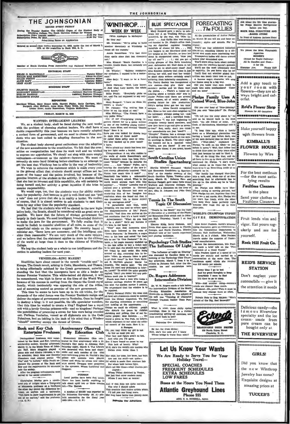|                                                                                                                                                                                               |                                                                                          |                                                                                                                                                                                                                         |                                                                                                                        | ***********************                                                               |
|-----------------------------------------------------------------------------------------------------------------------------------------------------------------------------------------------|------------------------------------------------------------------------------------------|-------------------------------------------------------------------------------------------------------------------------------------------------------------------------------------------------------------------------|------------------------------------------------------------------------------------------------------------------------|---------------------------------------------------------------------------------------|
| THE JOHNSONIAN<br><b>ISSUED EVERY FRIDAY</b>                                                                                                                                                  | <b>WINTHROP.</b>                                                                         | <b>BLUE SPECTATOR</b>                                                                                                                                                                                                   | <b>FORECASTING</b><br>$\ldots$ The FOLLIES                                                                             | Ask about the life time guaran-<br>tee Norge Electric Refrigerator<br>bafare you buy. |
| During the Regular Session The Official Organ of the Student Body of<br>Winthrop College, The South Carolina College for Women                                                                | WEEK BY WEEK                                                                             | Marý Burgard gave a party to cele-                                                                                                                                                                                      |                                                                                                                        | <b>ROCK HILL FURNITURE AND</b>                                                        |
| Advertising Rates on Application                                                                                                                                                              | (With Apologies to McIntyre)<br>So they say:<br>Mr. Graham: "We're going to build        | brate her A on Training School-the<br>pussword, by the way, was "Mim In-<br>gram." And Hallie Mae was caught<br>red-handed in Dr. Phelp's office feed-                                                                  | At the presentation of Junior Pollies<br>on Match 26 you will see and hear as-<br>tounding alghts and sounds. Por in-  | <b>.RADIO STORE</b><br>In front of Andrew Jackson Hotel<br>0000000000000000000        |
| Entered as second-class matter November 21, 1933, under the Act of March 5,<br>1879, at the postoffice in Rock Hill, S. C.                                                                    | another dormitory at Winthrop to<br>house all the rumora."                               | ing our dignified registrar heaping stance:<br>handfuls of cheese tid bits. Did                                                                                                                                         | You'll see four celebrated historical<br>you happen to see Maryland stick out characters remaking history in a dif-    | We please the Most Picayunish                                                         |
| (Kember)                                                                                                                                                                                      | Annie Rosenblum: "I've had three<br>dizzy spells since that last chemistry<br>test."     | her tongue at Dr. Wheeler, or hear her<br>shout in examerated tones, "Now you<br>lay off me!"? C.; did you get a before your astonished eyes.<br>Mrs. Kinard: "South Carolina is a tiving glimpse of Ora Belle knocking | ferent and much more interesting way.<br>Transparent ladies will dance around<br>You'll learn some facts about zoology | Appetites<br><b>BOGER'S</b><br>(Noted for Rapid Delivery)<br>All 5c Candles and Gum-  |
| Member of South Carolina Press Association and National Scholastic Asso.                                                                                                                      | lovable, livable State, but certainly not<br>wealthy."                                   | rush to get to short-story class? And                                                                                                                                                                                   | poor, defenseless Mr. Noel down in her that even the teachers haven't guessed.<br>You'll see the most effeminate man   | $3$ for $10c$<br>Ebenezer Ave.<br><b>Phone 9127</b>                                   |
| <b>EDITOBIAL STAFF</b>                                                                                                                                                                        | Dr. Wheeler: "Subway conductor,                                                          | Aflas Ketchin declares that class is just                                                                                                                                                                               | in captivity. Do you know who he is?                                                                                   |                                                                                       |
|                                                                                                                                                                                               | my evelashes. I wanted to be a motor-                                                    | driving her wild, and that her would-<br>be short story writers certainly aren't terfiles can touch their toes or not.<br>Alice Safy: "I want to be a heart suffering from inferiority complexes.                       | You'll find out whether gilded but-<br>A famous negro character will sing                                              | <b><i>BONSERGRESSORE</i></b>                                                          |
|                                                                                                                                                                                               | baim."                                                                                   | The Poetry Society has inaugurated a her theme song in a big way.<br>Edith Gorman: "Well, Lucy knows new custom--they give their new                                                                                    | Did you know that men could be                                                                                         | Add a gay touch to                                                                    |
| <b>BUSINESS STAFF</b>                                                                                                                                                                         |                                                                                          | it. And what Lucy knows, the whole   members partles and let them wash                                                                                                                                                  | made into mere mechanisms? Come                                                                                        | your room with                                                                        |
|                                                                                                                                                                                               | world knows."                                                                            | the dishea There's a rumor cu-<br>Billie Pruitt: "Everybody picks on culating about a certain entr' acte in                                                                                                             | and see some<br>Junior Pollies-and there are several Phelps Family Uses A                                              | flowers---they are al-<br>ways bright and col-                                        |
| <b>REPORTERS</b>                                                                                                                                                                              | thing."                                                                                  | other rumors, all of watch predict a<br>Mary Burgard: "I have no Ideas. My glowing future for this production                                                                                                           | Coined Word, Blue-John                                                                                                 | orful.                                                                                |
| Maryland Wilson, Mary Stuart Mills, Harriet Finley, Betty Carrison, Mary<br>Burgard, Alice McNairy, Anne Moss, Pinky Webb, Dot Manning,<br>Louise Howe, Annie Rosenblum, Virginia McKelthen.  | mind's a blank."<br>Dr. Johnson: "I've written him a<br>letter to set his mind at rest." | Ditty's spring fever got her ten days'<br>campus Jessie Derrick recognized<br>Mrs. Sims as her next-door-neighbor in                                                                                                    | Did you ever hear of "blue-johning?<br>Did you ever "blue-john?" Dr. Phelps                                            | Reid's Flower Shop<br><b>Flowers for All Occasions</b>                                |
| <b>FRIDAY, MARCH 15, 1535</b>                                                                                                                                                                 | Miss Malchus: "The French heve a<br>very polite Bible."                                  | the infirmary without seeing her. (Ask has.<br>her howl; And a horrified fresh-                                                                                                                                         | "I'll tell you the story about it," he                                                                                 |                                                                                       |
| <b>WANTED: INTELLIGENT LEADERS</b><br>We, as a student body, shall be faced during the next weeks                                                                                             | One of our enterprising young re-<br>porters filched for us a poem written               | man moaus "I was just beginning to                                                                                                                                                                                      | said as he leaned back in his desk<br>ceegnize twenty board members, and chair. "An old friend of mine, Joe            |                                                                                       |
| with the problem of choosing student leaders. We shall have a esses, Anne Mosa, and entitled "Doodle<br>double responsibility this year because we have recently adopted   Bugs." Here it is: | by one of our budding young author-                                                      | now they have to go and give us seven-<br>ty-two!" But, really, don't you think to me.<br>our amendments are just "swell"?                                                                                              | Cook, of Hattlesburg, Mississippi told it<br>"A long time ago, when a family                                           | I Make yourself happy                                                                 |
| a wayboad form of movemment and we need to choose three stil. Have you ever looked for double bugs                                                                                            |                                                                                          | "Dimples" Thomas has a strange wa                                                                                                                                                                                       | down on a Mississippi plantation was                                                                                   | with flowers from                                                                     |

a reveale form of government, and we need to choose those stu-forms you ever lower loves to the reveal of the definition.<br>
dents who are best suited to adapting themselves to the new in their hills of finest and?<br>
The stu

We're afraid our Annie has been hid-

This states have graved graved that the energy that the state is the the state is the state of the state of the state is the state of the state is the state of the state of the state is the state of the state of the state

and of assuming control as premier of the new government.<br>This time be seen to have been up to his old tricks, for the  $\frac{1}{2}$  period. PHF is time to the seens to have been up to his old tricks, for the  $\frac{1}{2}$  period course the resigns of government over to ventures. Once in counter the matter and destroy a king; is it not possible, the ide speculator wonders, like starting Armenians or something<br>that this time he wished to create a ki out. Perhaps Venizeles, versed as all diplomats are in the Code write people; Many one of our performant ... "should" someday occupy the throne of Greece.

### **Book and Key Club Entertains Freshmen**

 $\label{eq:20}$  than<br>d by the outernamen were enter-<br>Elementary Education Cluo ecte-<br>And with you if we seek<br>harship melety, honday afternoon, Patrick's Day party in Johnnon Hall, This lack of beauty. Why<br>seeking the Boot and

ther the progress refreshment

Caracopher Moriey gave a smoth-eved yelp of uslight when a University<br>of Minnesota professor at a university<br>the other day stated the difference between an anylum and a university.<br>the contract of the contract of the cont int to get we to show imp out of an asyle  $(A, C, P)$ 

Anniversary Observed

By Education Club

which ex

es to our mb

For whom bold heroes fight.<br>She's not libe those—what charms por

Whom I can beat at tennis!

And if this does not quite conv

This creature that makes artists win<br>This creature that makes artists win<br>I Til tell you one thing more.<br>1-<br>She may have faulte that plainly sh

o Our Ad

You why I should adore

FURMAN<br>
Local parties have been dull is<br>
There has been hardly anythin<br>
talk about upill two or three contributions<br>
left.—The Harnest rdly anything t

A surplus of \$24.577 was reported by<br>the Princeton University Of. J.) ath-<br>lette association for the flacal year<br>1933-1934.--(A. C. P.)

THE JOHNSONIAN

of calling the spirits fourth at the mys- having a 'masck' just better dark, one like meetings in South. The other night (s) the second out in a special vote (s) in . ("Blue-john," explained Br. "Spirits, are you there? I of calling the spirits fourth at the mys-

 $\begin{minipage}{0.5\textwidth} \begin{tabular}{p{0.8cm}} \textbf{.} \textbf{.} \textbf{.} \textbf{.} \textbf{.} \textbf{.} \textbf{.} \textbf{.} \textbf{.} \textbf{.} \textbf{.} \textbf{.} \textbf{.} \textbf{.} \textbf{.} \textbf{.} \textbf{.} \textbf{.} \textbf{.} \textbf{.} \textbf{.} \textbf{.} \textbf{.} \textbf{.} \textbf{.} \textbf{.} \textbf{.} \textbf{.} \textbf{.} \textbf{.} \textbf{.} \textbf{.} \$ 

What is nicer, these chilly sp<br>nornings, than to dial in a sta<br>proedcasting setting-up exercises,<br>then crawl back in bed?



Pcker

1ts North Tryen Str<br>Charlotte, N. C.

ABLE DRUG FI

Phone 555



Fruit lends vim and vigor. Eat yours regularly and see for yourself.

Rock Hill Fruit Co.

### **REID'S SERVICE STATION**

Don't neglect your automobile - give it the attention it needs

Delicious candy-the f a m o u s Riverview specialty and the icc cream · made from pure cream can be bought only at.

THE RIVERVIEW

### **GIRLS!**

Did you know that the new Winthrop Jewelry has come? Exquisite designs at amazing prices at

**TUCKER'S** 

sal conceit of the male. Here it is: A Paragon<br>Oh, you may think my girl is not tre aren't so hot, d no cause to rue

den wh

re, her ha sture fair

### Patronize Our Adv Be far. far from divine;<br>Still, she's the only girl I know<br>Whose bridge is worse than mit In mine!

# cause they change them so of Private Note to Eng. Majo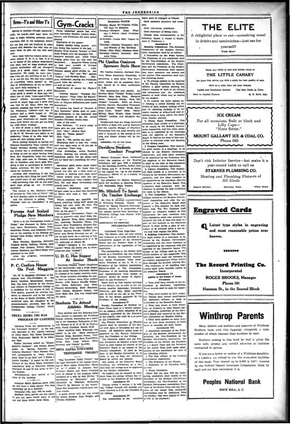News-Y's and Other Y's

spring is coming-though spass  $-16$ s'it gron cally, we ad time to begin thinking seriously about<br>elections. Call in the neighbors before

We will be easily a set and on the state of Physical Columbus and the state of the state of the state of the state of the state of the state of the state of the state of the state of the state of the state of the state of

curs case are the same pot too deep for high-water weding).<br>It sort of sends a thrill down your spine to think that plans for Bantiow—<br>y, M-Y. W. Retreat—are about to be underway. Those of us who went last

W. M.-W. W. Retrest—are nown to thit: "Hay,"<br>
general and the Solid "Hay", general and the Solid "Hay",<br>
general and the Solid Calvin (18) Solid "Hay,"<br>
We have looking forestated to have the Solid Calvin (2) and the Soli

Forceps And Scalpel<br>Pledge New Members

man Hall.<br>Elgan Pearson, Henrietta Barnwell,<br>Urgizia Harby, Dorothy Waters, Jane<br>Cooper: Nell Jackson, Evalyn Maritz,<br>Lorenz Gallowy, and Mary Sease were<br>admitted to the club.

the program, refreshments U. D. C. Has Supper After re served.

P. C. Confers Honor

A COLUMN FROMER CARRENTS of the photos states and the state and the state and the state of the state and the state and the state and the state and the state and the state and the state and the state and the state and the

**Gym-Cracks**  $Th$ 

were marvelous,<br>omores, and Fre omores, and Freshmen did :<br>| playing\*<br>| Highlights of the games:<br>| Rosalie Mathis being pre

elections. Call in the neighbors before  $^{18}$  Highlights of the games:<br>
Such and schienced by the particle of the best increase in the heat and scheme in the best man al-<br>
two flying legs hadred of the best man,  $^{12}$  H

n: "If you're ready t Miss Stoffer New give me your name.<br>
Ciri: "Hay." (Rachel Hay)<br>
Miss H.: "Name please?"<br>
Ciri: "Hay."

**On** Prof. Magginis of the conference had a steak supper

ard shall be changed as follows: MORNING WATCH  $\sim$ day, March 18-Virginia willing Cone: Can I Believe About Curistian ay-Louise Hall: Taggre in

THE JOHNSONIAN

riday-Domthy Chambers: Men and Women of Par Horizons.<br>Priday-Elsie Plant; Missions New

*rearet* 

Miss long

India

turday-Nesbrit Barnette; Mis sions Today. Phi Upsilon Omicron

### Sponsors Style Show Phi Tindlon Omiczon, Mational Hou-

ernity, is rary Rome Econ mica Pra sponsoring a style show. Tres Paris $w<sub>h</sub>$ which will be presented Mot:<br>arch 18, in Main Auditorius

lenne, which will be presumed and the synthesis of the manaceuture in Enganger and players are Caroline Shaw Tools Demnet, Sara Bess Huri, Margaret Jennet, Sara Bess Huri, Margaret Jennet, Sara Bess Huri, Margaret Huris,

Albaney.<br>Treases and bats are being furnished Dy Belk's of Rock Hill, and by Stewart's<br>and the Lucielle Shoppe of Charlotte.<br>Everything from the most severely inline<br>ored of outside and severely inlines<br>are the most sever

tured.<br>Admission will be five cents. Davidson Students

### **Conduct Program**

Mission Emphasis Week, conducted by the Savedington and also associated by the Chairman with<br>Volumeers, and the Savedness of the Savedness and the Savedness Bord, and Wisson and Wisson and Wisson and Party and Party and P

**C. Has Supper** of the Student Covernance Class Presi-Winthrop Chapter United Daughters dents. President of the Athletic Association, of the Confederacy had a steak supper Editor-In-chief of The Johnsonian, Chairmen of all standing committees,

Omit vies-house need Omit chairman of dining room Change class renresentation to the

Contract marks of dimensional compact of the contract of the contract of the contract of the contract of the contract of the contract of the state of the state of the contract of the contract of the contract of the contra

amount of work which may be variantly<br>by one stated may be variantly by the stated both pairs are<br>cord aboved photograph of a field of a different pairs in the state of<br>case of each studies between the cord of the state an

we receive by che students and four other is the supported by the unit has approved of the Figure 1 and 1 and 1 and 1 and 1 and 1 and 1 and 1 and 1 and 1 and 1 and 1 and 1 and 1 and 1 and 1 and 1 and 1 and 1 and 1 and 1 an

3 Campus Committee. This commit-<br>tee ahall consist of a chairman, to be<br>elected by the Student Covernment<br>Association, and nine other members<br>to be appointed by the Chairman with

 $\begin{minipage}[t]{.0\textwidth} \begin{tabular}{lcccc} \textbf{not not} & \textbf{not not} & \textbf{not not} & \textbf{not not} & \textbf{not not} \\ \textbf{not not} & \textbf{not not} & \textbf{not not} & \textbf{not not} & \textbf{not not} \\ \textbf{if the preorphism is not} & \textbf{not not} & \textbf{not not} & \textbf{not not} \\ \textbf{not not} & \textbf{not not} & \textbf{not not} & \textbf{not not} & \textbf{not not} \\ \textbf{not not} & \textbf{not not} & \textbf{not not} & \textbf{not not} & \textbf{not not} \\$ perpendent of the Executive Board.<br>
committee shall cooperate with<br>
librarian in getting the best condition<br>
for work in the library.

the distribution of the results are the results and the second that the second in the second in the second in the second in the second in the second in the second in the second in the second in the second in the second in

mattution.<br>The membership of the Senate shall purear of the Zizewithe Wavel and the<br>senate shall purear of the Coldege shall be an exception of the Coldege shall be an<br>except of a President, the four officers (efficied me committee shall nucle which receives all student organizations which receive all student organizations when the student Activity Fee.<br>The chairmen of all standing com-<br>ratitees shall make monthly reports to<br>the executive Board.

For all occasions. Bulk or block and Lilly Cups-"None Better." MOUNT GALLANT ICE & COAL CO. Phone 660

THE ELITE

A delightful place to eat-something novel

in drinks and sandwiches-just see for

yourself!

Trade Street

000000000000

When you think of eats and drinks, think of

THE LITTLE CANARY

the place that serves you with a smile the best quality of eats

Give us a trial, then tell your friends.

**ICE CREAM** 

Next to Capitol Treatre

**Buperb Service!** 

a and Gentlemen Invited. The Best Order in Town

Q. E. Britt, Mgr.

White Street

Don't risk Inferior Service-but make it a year-round habit to call on **STARNES PLUMBING CO.** 

Heating and Plumbing Fixtures of All Kinds

Electrical Work

### **Engraved Cards**

Latest type styles in engraving and most reasonable prices ever known.

-------

The Record Printing Co.

Incorporated **ROGER BROOKS, Manager** Phone 164 Hamton St., in the Second Block 

**Winthrop Parents** Many fathers and mothers and relatives of Winthrop Students bank with this financial : tronghold, a large number of whom transact their business by mail. Business coming to this bank by mail is given the me safe, prompt and careful attention as business

If you are a father or mother of a Winthrop daughter, or a relative, we extend to you the unexcelled facilities of this bank. Your deposit up to 5,000 is 100% insured by the Federal Deposit Insurance Corporation. Bank by

> **Peoples National Bank** ROCK HILL S. C.

transacted in person.

mail and see how convenient it is.